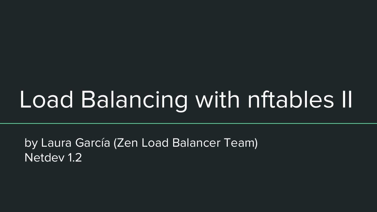by Laura García (Zen Load Balancer Team) Netdev 1.2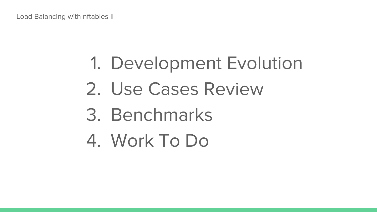## 1. Development Evolution

- 2. Use Cases Review
- 3. Benchmarks
- 4. Work To Do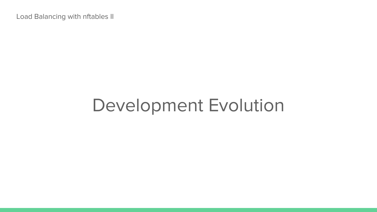## Development Evolution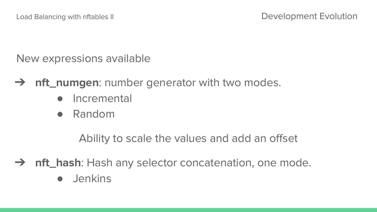New expressions available

- ➔ **nft\_numgen**: number generator with two modes.
	- Incremental
	- Random

Ability to scale the values and add an offset

**→ nft\_hash**: Hash any selector concatenation, one mode.

● Jenkins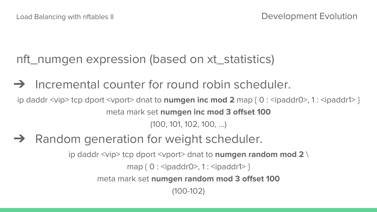nft\_numgen expression (based on xt\_statistics)

 $\rightarrow$  Incremental counter for round robin scheduler.

ip daddr <vip> tcp dport <vport> dnat to **numgen inc mod 2** map { 0 : <ipaddr0>, 1 : <ipaddr1> } meta mark set **numgen inc mod 3 offset 100** (100, 101, 102, 100, ...)

**→** Random generation for weight scheduler.

ip daddr <vip> tcp dport <vport> dnat to **numgen random mod 2** \

map { 0 : <ipaddr0>, 1 : <ipaddr1> }

meta mark set **numgen random mod 3 offset 100**

(100-102)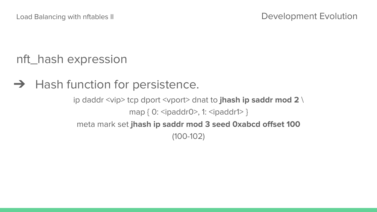nft\_hash expression

 $\rightarrow$  Hash function for persistence.

ip daddr <vip> tcp dport <vport> dnat to **jhash ip saddr mod 2** \ map { 0: <ipaddr0>, 1: <ipaddr1> } meta mark set **jhash ip saddr mod 3 seed 0xabcd offset 100** (100-102)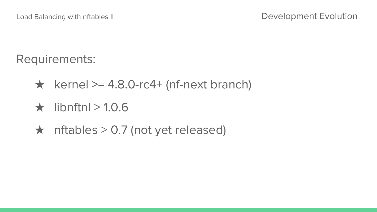Requirements:

- $\star$  kernel >= 4.8.0-rc4+ (nf-next branch)
- $\star$  libnftnl > 1.0.6
- $\star$  nftables > 0.7 (not yet released)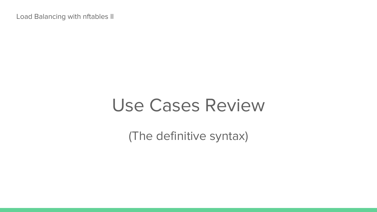## Use Cases Review

(The definitive syntax)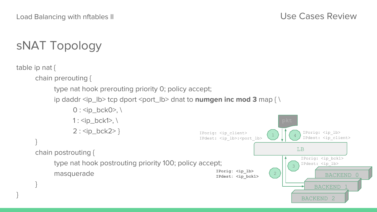## sNAT Topology

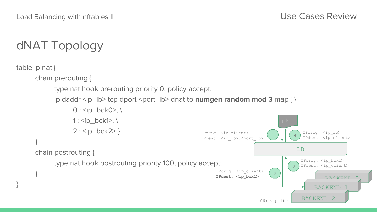## dNAT Topology

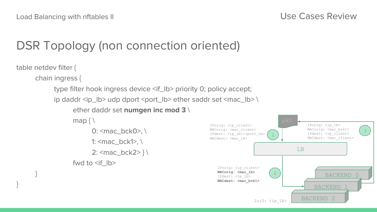}

BACKEND 1

BACKEND 2

### DSR Topology (non connection oriented)

```
table netdev filter {
chain ingress {
           type filter hook ingress device <if_lb> priority 0; policy accept;
           ip daddr <ip_lb> udp dport <port_lb> ether saddr set <mac_lb> \
                      ether daddr set numgen inc mod 3 \
                      map \ \{ \}0: \text{C} \text{C} \text{C} \text{C} \text{D} \text{D} \text{C} \text{D} \text{D} \text{D} \text{D} \text{D} \text{D} \text{D} \text{D} \text{D} \text{D} \text{D} \text{D} \text{D} \text{D} \text{D} \text{D} \text{D} \text{D} \text{D} \text{D} \1: \text{2} \cdot \text{2} bck1>, \text{2} \cdot \text{2}2: <mac_bck2> } \
                      fwd to \leqif \vertb>
 }
                                                                                                                                                                      BACKEND 0
                                                                                                                                                     LB
                                                                                                    IPorig: <ip_client>
                                                                                                    MACorig: <mac_client>
                                                                                                    IPdest: <ip lb>:<port lb>
                                                                                                    MACdest: <mac_lb>
                                                                                                                                        1
                                                                                                                                       2
                                                                                                                                                                                           3
                                                                                                         IPorig: <ip_client>
                                                                                                         MACorig: <mac_lb>
                                                                                                                                                            IPorig: <ip_lb>
                                                                                                                                                            MACorig: <mac_bck1>
                                                                                                                                                            IPdest: <ip_client>
                                                                                                                                                           MACdest: <mac_client>
```
IPdest: <ip\_lb> **MACdest: <mac\_bck1>**

 $lo:0:$   $\langle ip\text{ }lb \rangle$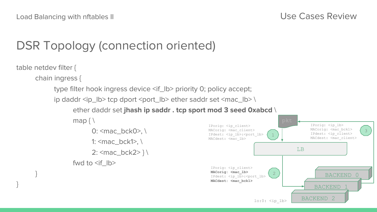BACKEND 1

BACKEND 2

 $lo:0:$   $\langle ip\text{ }lb \rangle$ 

### DSR Topology (connection oriented)

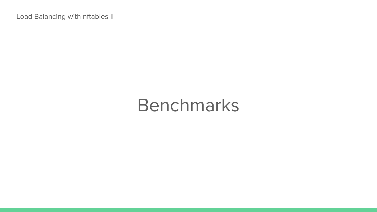## Benchmarks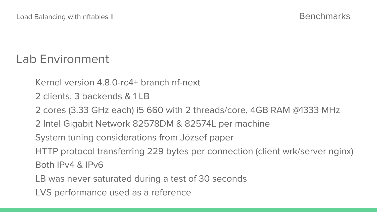### Lab Environment

Kernel version 4.8.0-rc4+ branch nf-next

2 clients, 3 backends & 1 LB

2 cores (3.33 GHz each) i5 660 with 2 threads/core, 4GB RAM @1333 MHz

2 Intel Gigabit Network 82578DM & 82574L per machine

System tuning considerations from József paper

HTTP protocol transferring 229 bytes per connection (client wrk/server nginx)

Both IPv4 & IPv6

LB was never saturated during a test of 30 seconds

LVS performance used as a reference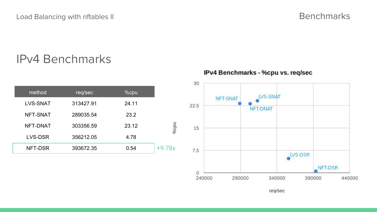### IPv4 Benchmarks

IPv4 Benchmarks - %cpu vs. req/sec



reg/sec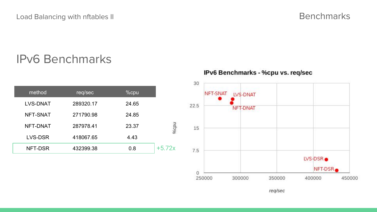#### IPv6 Benchmarks

| %cpu  | req/sec   | method          |
|-------|-----------|-----------------|
| 24.65 | 289320.17 | <b>LVS-DNAT</b> |
| 24.85 | 271790.98 | NFT-SNAT        |
| 23.37 | 287978.41 | NFT-DNAT        |
| 4.43  | 418067.65 | LVS-DSR         |
| 0.8   | 432399.38 | NFT-DSR         |

IPv6 Benchmarks - %cpu vs. req/sec

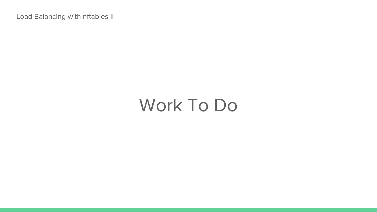## Work To Do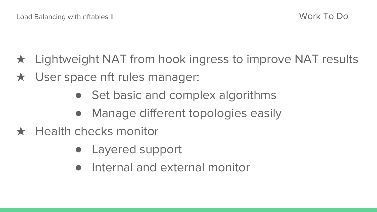- $\star$  Lightweight NAT from hook ingress to improve NAT results
- **★ User space nft rules manager:** 
	- Set basic and complex algorithms
	- Manage different topologies easily
- $\star$  Health checks monitor
	- Layered support
	- Internal and external monitor